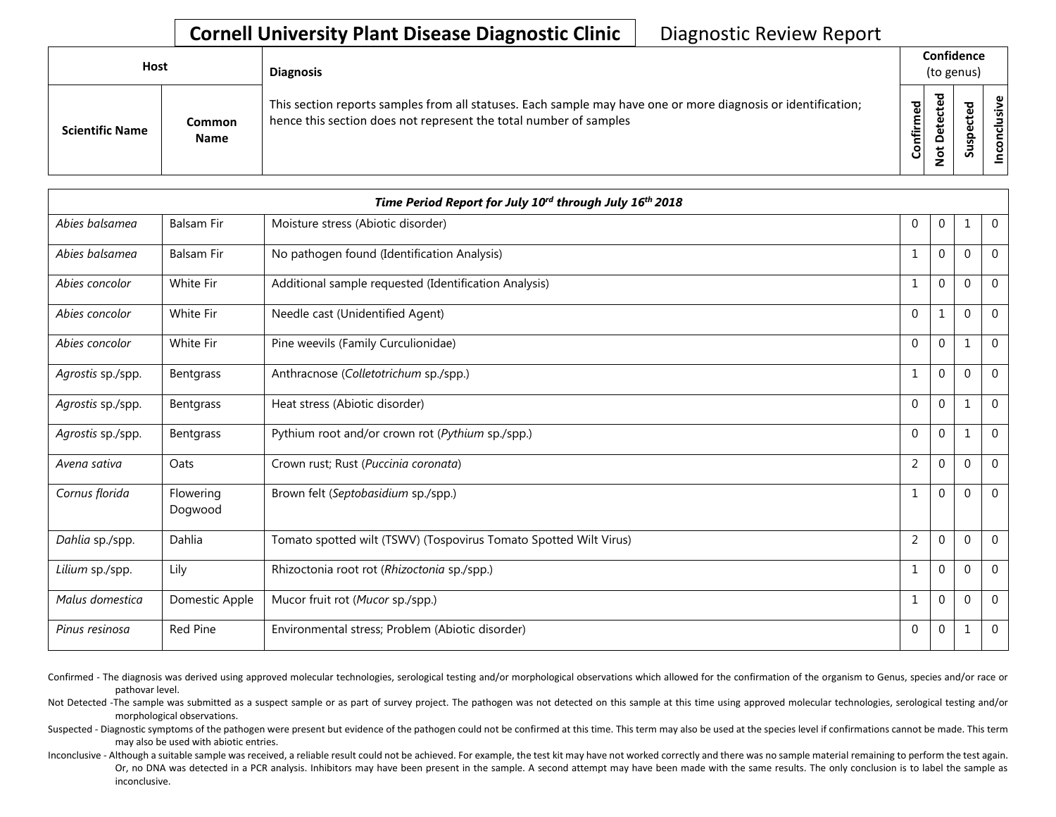## **Cornell University Plant Disease Diagnostic Clinic** | Diagnostic Review Report

| Host |                        |                              | <b>Diagnosis</b>                                                                                                                                                                   | Confidence<br>(to genus) |         |   |                       |
|------|------------------------|------------------------------|------------------------------------------------------------------------------------------------------------------------------------------------------------------------------------|--------------------------|---------|---|-----------------------|
|      | <b>Scientific Name</b> | <b>Common</b><br><b>Name</b> | This section reports samples from all statuses. Each sample may have one or more diagnosis or identification;<br>hence this section does not represent the total number of samples | Confirmed                | 75<br>Δ | 5 | usive<br>᠊ᠣ<br>c<br>g |

| Time Period Report for July 10 <sup>rd</sup> through July 16 <sup>th</sup> 2018 |                      |                                                                   |                |          |          |                |  |
|---------------------------------------------------------------------------------|----------------------|-------------------------------------------------------------------|----------------|----------|----------|----------------|--|
| Abies balsamea                                                                  | <b>Balsam Fir</b>    | Moisture stress (Abiotic disorder)                                | $\mathbf{0}$   | $\Omega$ |          | $\mathbf{0}$   |  |
| Abies balsamea                                                                  | <b>Balsam Fir</b>    | No pathogen found (Identification Analysis)                       | $\overline{1}$ | $\Omega$ | $\Omega$ | $\overline{0}$ |  |
| Abies concolor                                                                  | <b>White Fir</b>     | Additional sample requested (Identification Analysis)             | $\mathbf{1}$   | $\Omega$ | $\Omega$ | $\Omega$       |  |
| Abies concolor                                                                  | White Fir            | Needle cast (Unidentified Agent)                                  | $\mathbf{0}$   |          | $\Omega$ | $\mathbf 0$    |  |
| Abies concolor                                                                  | White Fir            | Pine weevils (Family Curculionidae)                               | $\Omega$       | $\Omega$ |          | $\overline{0}$ |  |
| Agrostis sp./spp.                                                               | Bentgrass            | Anthracnose (Colletotrichum sp./spp.)                             | $\mathbf{1}$   | $\Omega$ | $\Omega$ | $\Omega$       |  |
| Agrostis sp./spp.                                                               | Bentgrass            | Heat stress (Abiotic disorder)                                    | $\mathbf{0}$   | 0        |          | $\mathbf 0$    |  |
| Agrostis sp./spp.                                                               | Bentgrass            | Pythium root and/or crown rot (Pythium sp./spp.)                  | $\Omega$       | $\Omega$ |          | $\Omega$       |  |
| Avena sativa                                                                    | Oats                 | Crown rust; Rust (Puccinia coronata)                              | $\overline{2}$ | $\Omega$ | $\Omega$ | $\mathbf 0$    |  |
| Cornus florida                                                                  | Flowering<br>Dogwood | Brown felt (Septobasidium sp./spp.)                               | -1             | $\Omega$ | $\Omega$ | $\Omega$       |  |
| Dahlia sp./spp.                                                                 | Dahlia               | Tomato spotted wilt (TSWV) (Tospovirus Tomato Spotted Wilt Virus) | 2              | 0        | $\Omega$ | $\Omega$       |  |
| Lilium sp./spp.                                                                 | Lily                 | Rhizoctonia root rot (Rhizoctonia sp./spp.)                       | $\mathbf{1}$   | $\Omega$ | $\Omega$ | $\Omega$       |  |
| Malus domestica                                                                 | Domestic Apple       | Mucor fruit rot (Mucor sp./spp.)                                  | $\overline{1}$ | $\Omega$ | $\Omega$ | $\theta$       |  |
| Pinus resinosa                                                                  | <b>Red Pine</b>      | Environmental stress; Problem (Abiotic disorder)                  | $\Omega$       | 0        | 1        | $\overline{0}$ |  |

Confirmed - The diagnosis was derived using approved molecular technologies, serological testing and/or morphological observations which allowed for the confirmation of the organism to Genus, species and/or race or pathovar level.

Not Detected -The sample was submitted as a suspect sample or as part of survey project. The pathogen was not detected on this sample at this time using approved molecular technologies, serological testing and/or morphological observations.

Suspected - Diagnostic symptoms of the pathogen were present but evidence of the pathogen could not be confirmed at this time. This term may also be used at the species level if confirmations cannot be made. This term may also be used with abiotic entries.

Inconclusive - Although a suitable sample was received, a reliable result could not be achieved. For example, the test kit may have not worked correctly and there was no sample material remaining to perform the test again. Or, no DNA was detected in a PCR analysis. Inhibitors may have been present in the sample. A second attempt may have been made with the same results. The only conclusion is to label the sample as inconclusive.